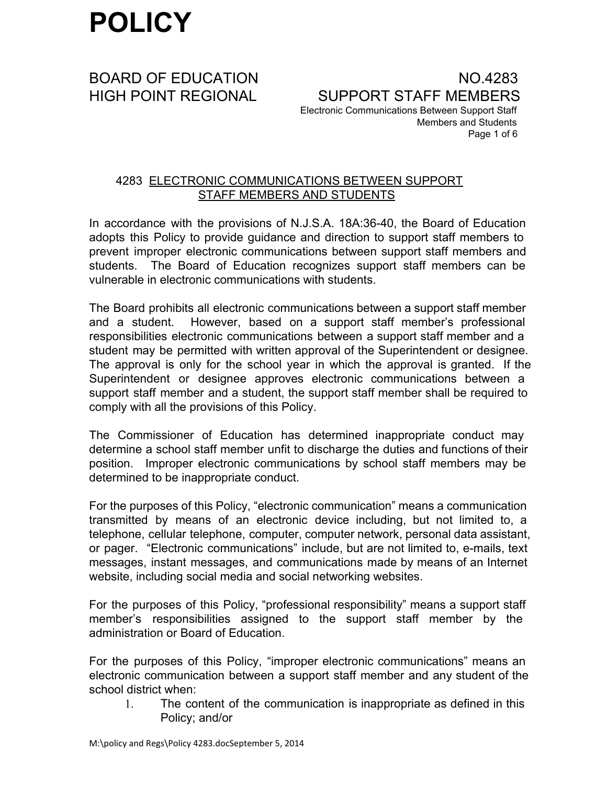BOARD OF EDUCATION NO.4283 HIGH POINT REGIONAL SUPPORT STAFF MEMBERS Electronic Communications Between Support Staff Members and Students Page 1 of 6

### 4283 ELECTRONIC COMMUNICATIONS BETWEEN SUPPORT STAFF MEMBERS AND STUDENTS

In accordance with the provisions of N.J.S.A. 18A:36-40, the Board of Education adopts this Policy to provide guidance and direction to support staff members to prevent improper electronic communications between support staff members and students. The Board of Education recognizes support staff members can be vulnerable in electronic communications with students.

The Board prohibits all electronic communications between a support staff member and a student. However, based on a support staff member's professional responsibilities electronic communications between a support staff member and a student may be permitted with written approval of the Superintendent or designee. The approval is only for the school year in which the approval is granted. If the Superintendent or designee approves electronic communications between a support staff member and a student, the support staff member shall be required to comply with all the provisions of this Policy.

The Commissioner of Education has determined inappropriate conduct may determine a school staff member unfit to discharge the duties and functions of their position. Improper electronic communications by school staff members may be determined to be inappropriate conduct.

For the purposes of this Policy, "electronic communication" means a communication transmitted by means of an electronic device including, but not limited to, a telephone, cellular telephone, computer, computer network, personal data assistant, or pager. "Electronic communications" include, but are not limited to, emails, text messages, instant messages, and communications made by means of an Internet website, including social media and social networking websites.

For the purposes of this Policy, "professional responsibility" means a support staff member's responsibilities assigned to the support staff member by the administration or Board of Education.

For the purposes of this Policy, "improper electronic communications" means an electronic communication between a support staff member and any student of the school district when:

1. The content of the communication is inappropriate as defined in this Policy; and/or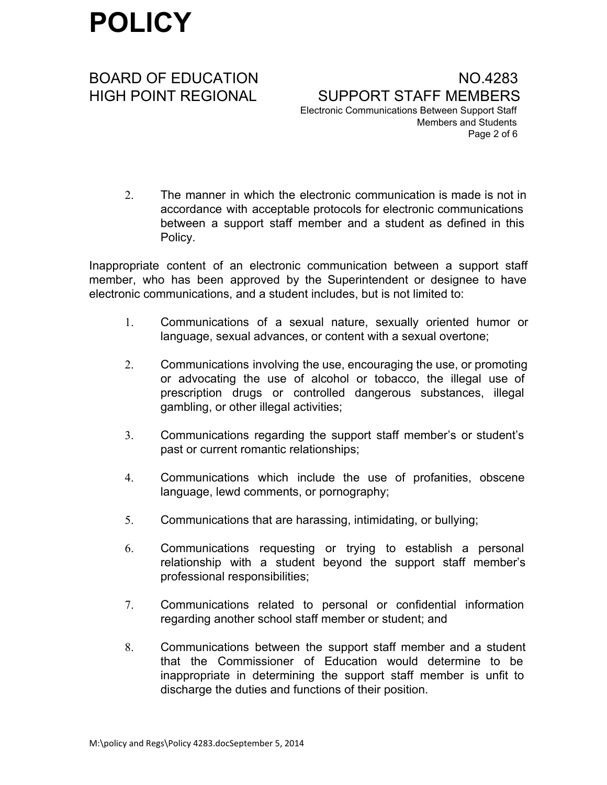BOARD OF EDUCATION NO.4283 HIGH POINT REGIONAL SUPPORT STAFF MEMBERS Electronic Communications Between Support Staff Members and Students Page 2 of 6

2. The manner in which the electronic communication is made is not in accordance with acceptable protocols for electronic communications between a support staff member and a student as defined in this Policy.

Inappropriate content of an electronic communication between a support staff member, who has been approved by the Superintendent or designee to have electronic communications, and a student includes, but is not limited to:

- 1. Communications of a sexual nature, sexually oriented humor or language, sexual advances, or content with a sexual overtone;
- 2. Communications involving the use, encouraging the use, or promoting or advocating the use of alcohol or tobacco, the illegal use of prescription drugs or controlled dangerous substances, illegal gambling, or other illegal activities;
- 3. Communications regarding the support staff member's or student's past or current romantic relationships;
- 4. Communications which include the use of profanities, obscene language, lewd comments, or pornography;
- 5. Communications that are harassing, intimidating, or bullying;
- 6. Communications requesting or trying to establish a personal relationship with a student beyond the support staff member's professional responsibilities;
- 7. Communications related to personal or confidential information regarding another school staff member or student; and
- 8. Communications between the support staff member and a student that the Commissioner of Education would determine to be inappropriate in determining the support staff member is unfit to discharge the duties and functions of their position.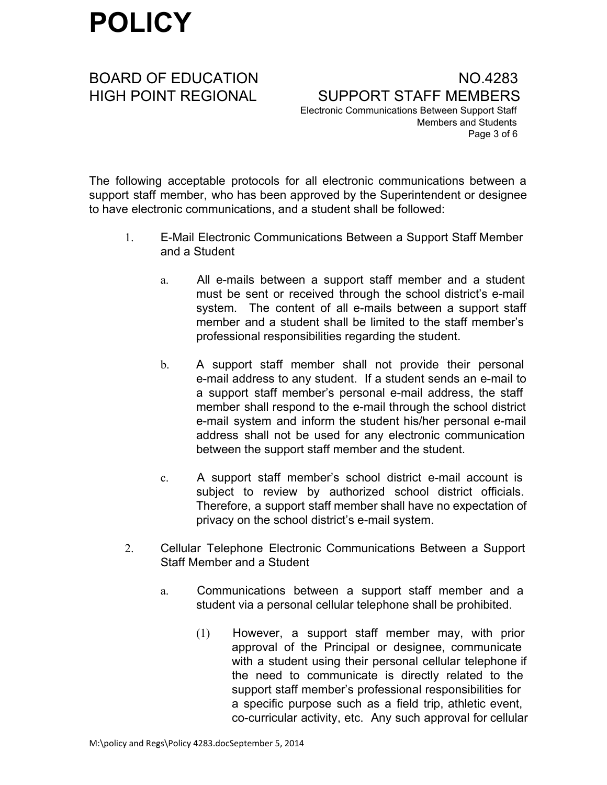BOARD OF EDUCATION NO.4283 HIGH POINT REGIONAL SUPPORT STAFF MEMBERS Electronic Communications Between Support Staff Members and Students Page 3 of 6

The following acceptable protocols for all electronic communications between a support staff member, who has been approved by the Superintendent or designee to have electronic communications, and a student shall be followed:

- 1. EMail Electronic Communications Between a Support Staff Member and a Student
	- a. All e-mails between a support staff member and a student must be sent or received through the school district's e-mail system. The content of all e-mails between a support staff member and a student shall be limited to the staff member's professional responsibilities regarding the student.
	- b. A support staff member shall not provide their personal e-mail address to any student. If a student sends an e-mail to a support staff member's personal e-mail address, the staff member shall respond to the e-mail through the school district e-mail system and inform the student his/her personal e-mail address shall not be used for any electronic communication between the support staff member and the student.
	- c. A support staff member's school district email account is subject to review by authorized school district officials. Therefore, a support staff member shall have no expectation of privacy on the school district's e-mail system.
- 2. Cellular Telephone Electronic Communications Between a Support Staff Member and a Student
	- a. Communications between a support staff member and a student via a personal cellular telephone shall be prohibited.
		- (1) However, a support staff member may, with prior approval of the Principal or designee, communicate with a student using their personal cellular telephone if the need to communicate is directly related to the support staff member's professional responsibilities for a specific purpose such as a field trip, athletic event, co-curricular activity, etc. Any such approval for cellular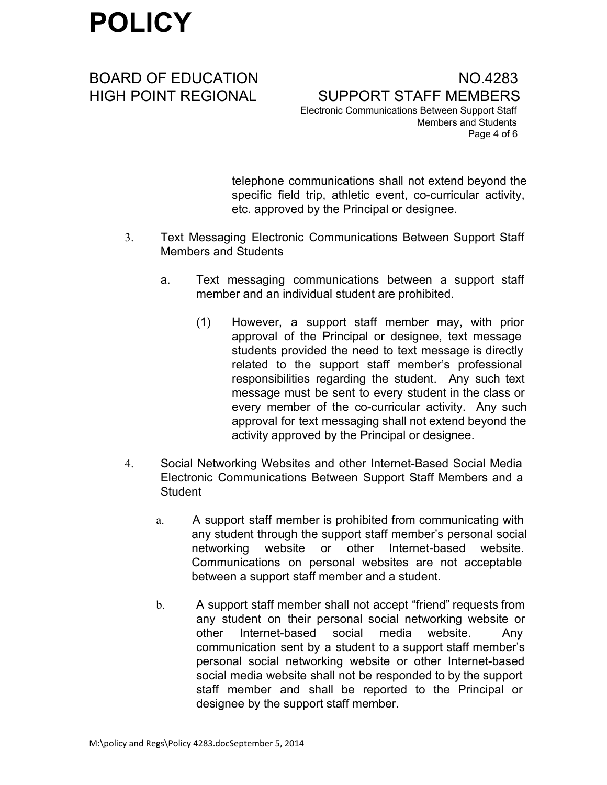telephone communications shall not extend beyond the specific field trip, athletic event, co-curricular activity, etc. approved by the Principal or designee.

- 3. Text Messaging Electronic Communications Between Support Staff Members and Students
	- a. Text messaging communications between a support staff member and an individual student are prohibited.
		- (1) However, a support staff member may, with prior approval of the Principal or designee, text message students provided the need to text message is directly related to the support staff member's professional responsibilities regarding the student. Any such text message must be sent to every student in the class or every member of the co-curricular activity. Any such approval for text messaging shall not extend beyond the activity approved by the Principal or designee.
- 4. Social Networking Websites and other Internet-Based Social Media Electronic Communications Between Support Staff Members and a **Student** 
	- a. A support staff member is prohibited from communicating with any student through the support staff member's personal social networking website or other Internet-based website. Communications on personal websites are not acceptable between a support staff member and a student.
	- b. A support staff member shall not accept "friend" requests from any student on their personal social networking website or other Internet-based social media website. Any communication sent by a student to a support staff member's personal social networking website or other Internet-based social media website shall not be responded to by the support staff member and shall be reported to the Principal or designee by the support staff member.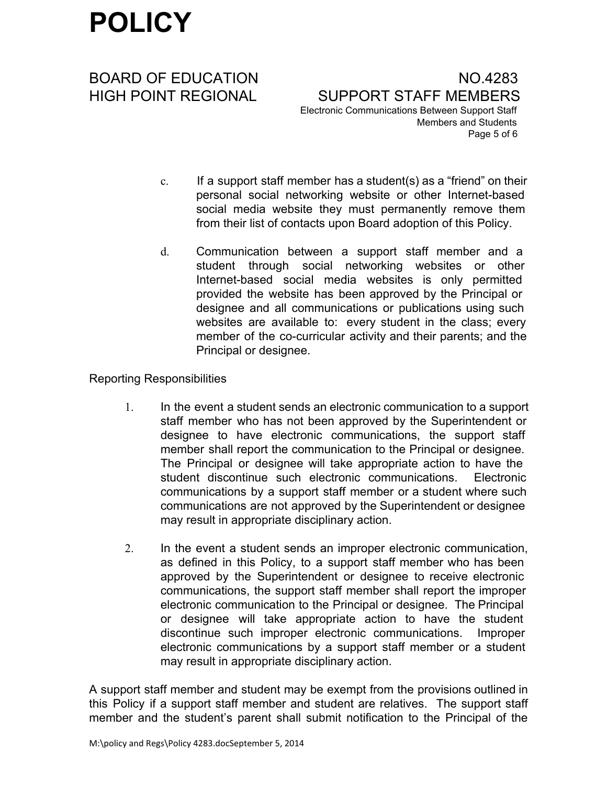BOARD OF EDUCATION NO.4283 HIGH POINT REGIONAL SUPPORT STAFF MEMBERS Electronic Communications Between Support Staff Members and Students Page 5 of 6

- c. If a support staff member has a student(s) as a "friend" on their personal social networking website or other Internet-based social media website they must permanently remove them from their list of contacts upon Board adoption of this Policy.
- d. Communication between a support staff member and a student through social networking websites or other Internet-based social media websites is only permitted provided the website has been approved by the Principal or designee and all communications or publications using such websites are available to: every student in the class; every member of the co-curricular activity and their parents; and the Principal or designee.

### Reporting Responsibilities

- 1. In the event a student sends an electronic communication to a support staff member who has not been approved by the Superintendent or designee to have electronic communications, the support staff member shall report the communication to the Principal or designee. The Principal or designee will take appropriate action to have the student discontinue such electronic communications. Electronic communications by a support staff member or a student where such communications are not approved by the Superintendent or designee may result in appropriate disciplinary action.
- 2. In the event a student sends an improper electronic communication, as defined in this Policy, to a support staff member who has been approved by the Superintendent or designee to receive electronic communications, the support staff member shall report the improper electronic communication to the Principal or designee. The Principal or designee will take appropriate action to have the student discontinue such improper electronic communications. Improper electronic communications by a support staff member or a student may result in appropriate disciplinary action.

A support staff member and student may be exempt from the provisions outlined in this Policy if a support staff member and student are relatives. The support staff member and the student's parent shall submit notification to the Principal of the